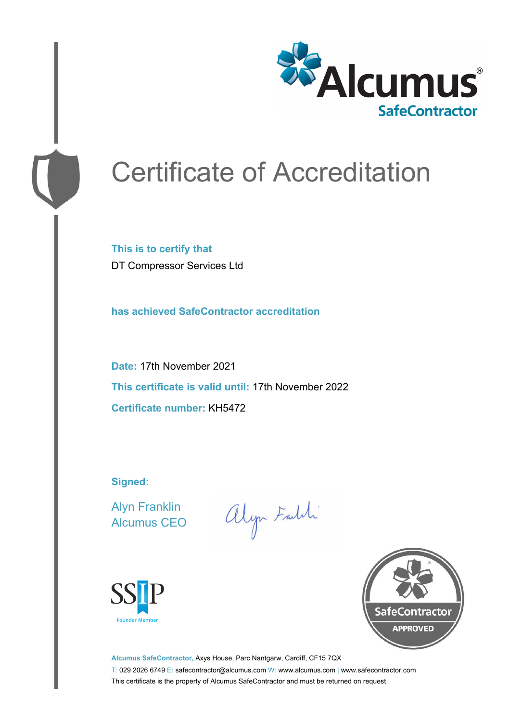

# Certificate of Accreditation

**This is to certify that** DT Compressor Services Ltd

**has achieved SafeContractor accreditation**

**Date:** 17th November 2021 **This certificate is valid until:** 17th November 2022 **Certificate number:** KH5472

**Signed:**

Alyn Franklin Alcumus CEO

alyn Faith





**Alcumus SafeContractor,** Axys House, Parc Nantgarw, Cardiff, CF15 7QX T: 029 2026 6749 E: safecontractor@alcumus.com W: www.alcumus.com | www.safecontractor.com This certificate is the property of Alcumus SafeContractor and must be returned on request